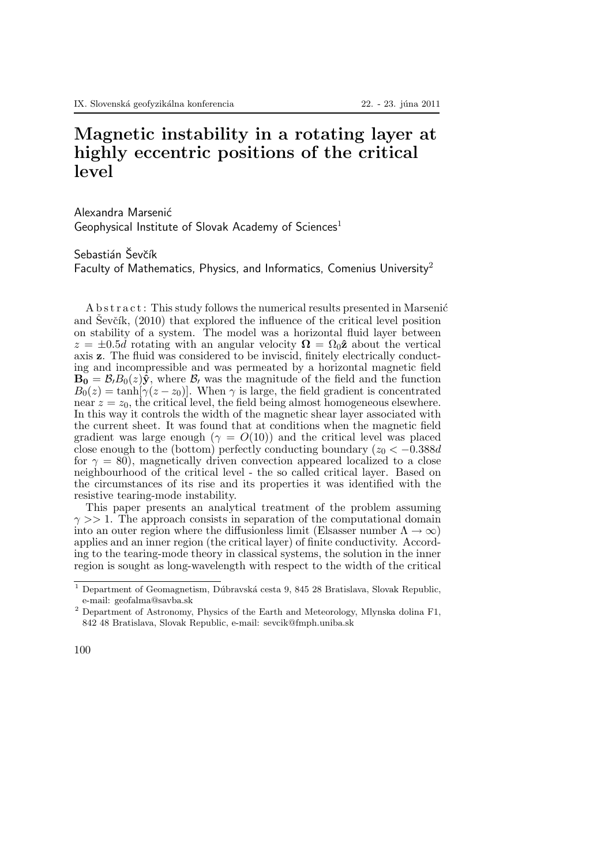## Magnetic instability in a rotating layer at highly eccentric positions of the critical level

Alexandra Marsenić

Geophysical Institute of Slovak Academy of Sciences<sup>1</sup>

Sebastián Ševčík

Faculty of Mathematics, Physics, and Informatics, Comenius University<sup>2</sup>

A b s t r a c t : This study follows the numerical results presented in Marsenić and Sevčík,  $(2010)$  that explored the influence of the critical level position on stability of a system. The model was a horizontal fluid layer between  $z = \pm 0.5d$  rotating with an angular velocity  $\mathbf{\Omega} = \Omega_0 \hat{\mathbf{z}}$  about the vertical axis z. The fluid was considered to be inviscid, finitely electrically conducting and incompressible and was permeated by a horizontal magnetic field  $\mathbf{B}_0 = \mathcal{B}_l B_0(z)\hat{\mathbf{y}}$ , where  $\mathcal{B}_l$  was the magnitude of the field and the function  $B_0(z) = \tanh[\gamma(z - z_0)]$ . When  $\gamma$  is large, the field gradient is concentrated near  $z = z_0$ , the critical level, the field being almost homogeneous elsewhere. In this way it controls the width of the magnetic shear layer associated with the current sheet. It was found that at conditions when the magnetic field gradient was large enough ( $\gamma = O(10)$ ) and the critical level was placed close enough to the (bottom) perfectly conducting boundary  $(z_0 < -0.388d$ for  $\gamma = 80$ , magnetically driven convection appeared localized to a close neighbourhood of the critical level - the so called critical layer. Based on the circumstances of its rise and its properties it was identified with the resistive tearing-mode instability.

This paper presents an analytical treatment of the problem assuming  $\gamma >> 1$ . The approach consists in separation of the computational domain into an outer region where the diffusionless limit (Elsasser number  $\Lambda \to \infty$ ) applies and an inner region (the critical layer) of finite conductivity. According to the tearing-mode theory in classical systems, the solution in the inner region is sought as long-wavelength with respect to the width of the critical

 $1$  Department of Geomagnetism, Dúbravská cesta 9, 845 28 Bratislava, Slovak Republic, e-mail: geofalma@savba.sk

<sup>2</sup> Department of Astronomy, Physics of the Earth and Meteorology, Mlynska dolina F1, 842 48 Bratislava, Slovak Republic, e-mail: sevcik@fmph.uniba.sk